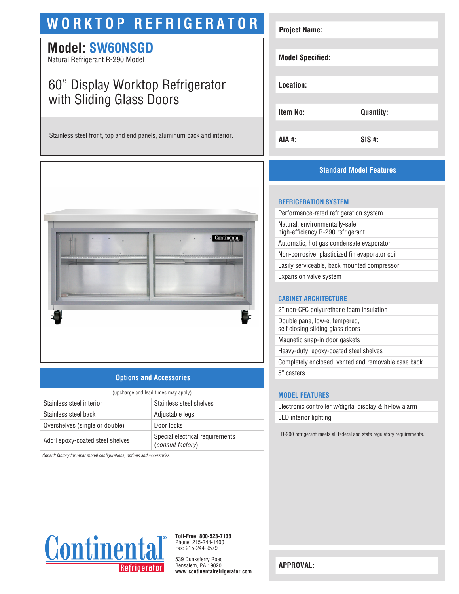## **WORKTOP REFRIGERATOR**

### **Model: SW60NSGD**

Natural Refrigerant R-290 Model

## 60" Display Worktop Refrigerator with Sliding Glass Doors

Stainless steel front, top and end panels, aluminum back and interior.



#### **Options and Accessories**

| (upcharge and lead times may apply) |                                                      |  |
|-------------------------------------|------------------------------------------------------|--|
| Stainless steel interior            | Stainless steel shelves                              |  |
| Stainless steel back                | Adjustable legs                                      |  |
| Overshelves (single or double)      | Door locks                                           |  |
| Add'l epoxy-coated steel shelves    | Special electrical requirements<br>(consult factory) |  |

*Consult factory for other model configurations, options and accessories.*

# **Project Name: Model Specified: Location: Item No: Quantity: AIA #: SIS #:**

#### **Standard Model Features**

#### **REFRIGERATION SYSTEM**

Performance-rated refrigeration system Natural, environmentally-safe, high-efficiency R-290 refrigerant<sup>1</sup> Automatic, hot gas condensate evaporator Non-corrosive, plasticized fin evaporator coil Easily serviceable, back mounted compressor Expansion valve system

#### **CABINET ARCHITECTURE**

2" non-CFC polyurethane foam insulation Double pane, low-e, tempered, self closing sliding glass doors Magnetic snap-in door gaskets Heavy-duty, epoxy-coated steel shelves

Completely enclosed, vented and removable case back

5" casters

#### **MODEL FEATURES**

Electronic controller w/digital display & hi-low alarm LED interior lighting

<sup>1</sup> R-290 refrigerant meets all federal and state regulatory requirements.



**Toll-Free: 800-523-7138** Phone: 215-244-1400 Fax: 215-244-9579

539 Dunksferry Road Bensalem, PA 19020 **www.continentalrefrigerator.com** 

**APPROVAL:**